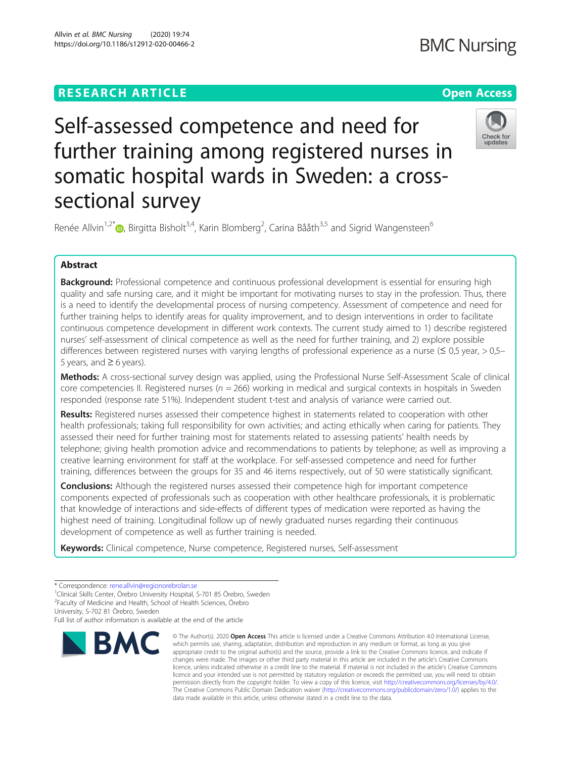# **RESEARCH ARTICLE Example 2014 12:30 The Open Access**

# **BMC Nursing**

# Check for undates

sectional survey Renée Allvin<sup>1,2[\\*](http://orcid.org/0000-0003-2470-4902)</sup>®, Birgitta Bisholt<sup>3,4</sup>, Karin Blomberg<sup>2</sup>, Carina Bååth<sup>3,5</sup> and Sigrid Wangensteen<sup>6</sup>

further training among registered nurses in

somatic hospital wards in Sweden: a cross-

Self-assessed competence and need for

# Abstract

**Background:** Professional competence and continuous professional development is essential for ensuring high quality and safe nursing care, and it might be important for motivating nurses to stay in the profession. Thus, there is a need to identify the developmental process of nursing competency. Assessment of competence and need for further training helps to identify areas for quality improvement, and to design interventions in order to facilitate continuous competence development in different work contexts. The current study aimed to 1) describe registered nurses' self-assessment of clinical competence as well as the need for further training, and 2) explore possible differences between registered nurses with varying lengths of professional experience as a nurse ( $\leq 0.5$  year,  $> 0.5-$ 5 years, and  $\geq 6$  years).

Methods: A cross-sectional survey design was applied, using the Professional Nurse Self-Assessment Scale of clinical core competencies II. Registered nurses ( $n = 266$ ) working in medical and surgical contexts in hospitals in Sweden responded (response rate 51%). Independent student t-test and analysis of variance were carried out.

Results: Registered nurses assessed their competence highest in statements related to cooperation with other health professionals; taking full responsibility for own activities; and acting ethically when caring for patients. They assessed their need for further training most for statements related to assessing patients' health needs by telephone; giving health promotion advice and recommendations to patients by telephone; as well as improving a creative learning environment for staff at the workplace. For self-assessed competence and need for further training, differences between the groups for 35 and 46 items respectively, out of 50 were statistically significant.

**Conclusions:** Although the registered nurses assessed their competence high for important competence components expected of professionals such as cooperation with other healthcare professionals, it is problematic that knowledge of interactions and side-effects of different types of medication were reported as having the highest need of training. Longitudinal follow up of newly graduated nurses regarding their continuous development of competence as well as further training is needed.

Keywords: Clinical competence, Nurse competence, Registered nurses, Self-assessment

University, S-702 81 Örebro, Sweden

Full list of author information is available at the end of the article



<sup>©</sup> The Author(s), 2020 **Open Access** This article is licensed under a Creative Commons Attribution 4.0 International License, which permits use, sharing, adaptation, distribution and reproduction in any medium or format, as long as you give appropriate credit to the original author(s) and the source, provide a link to the Creative Commons licence, and indicate if changes were made. The images or other third party material in this article are included in the article's Creative Commons licence, unless indicated otherwise in a credit line to the material. If material is not included in the article's Creative Commons licence and your intended use is not permitted by statutory regulation or exceeds the permitted use, you will need to obtain permission directly from the copyright holder. To view a copy of this licence, visit [http://creativecommons.org/licenses/by/4.0/.](http://creativecommons.org/licenses/by/4.0/) The Creative Commons Public Domain Dedication waiver [\(http://creativecommons.org/publicdomain/zero/1.0/](http://creativecommons.org/publicdomain/zero/1.0/)) applies to the data made available in this article, unless otherwise stated in a credit line to the data.

<sup>\*</sup> Correspondence: [rene.allvin@regionorebrolan.se](mailto:rene.allvin@regionorebrolan.se) <sup>1</sup>

<sup>&</sup>lt;sup>1</sup>Clinical Skills Center, Örebro University Hospital, S-701 85 Örebro, Sweden

<sup>2</sup> Faculty of Medicine and Health, School of Health Sciences, Örebro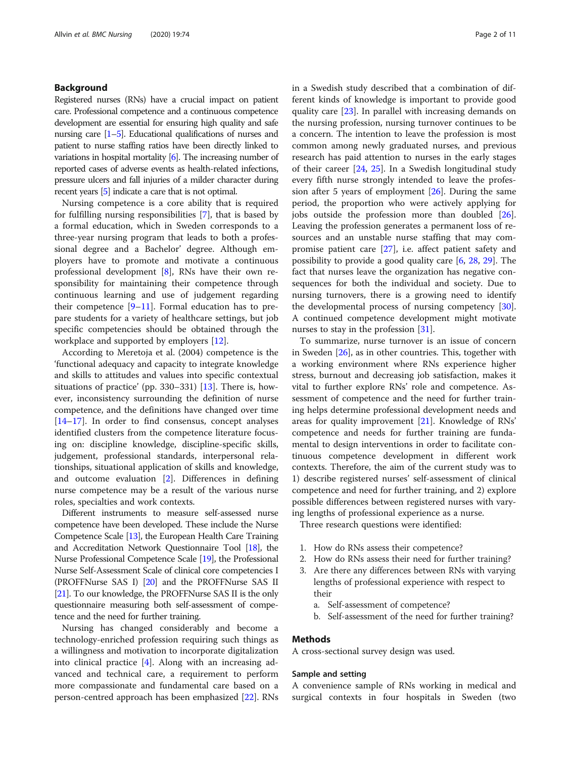# Background

Registered nurses (RNs) have a crucial impact on patient care. Professional competence and a continuous competence development are essential for ensuring high quality and safe nursing care [\[1](#page-9-0)–[5](#page-9-0)]. Educational qualifications of nurses and patient to nurse staffing ratios have been directly linked to variations in hospital mortality [\[6](#page-9-0)]. The increasing number of reported cases of adverse events as health-related infections, pressure ulcers and fall injuries of a milder character during recent years [[5](#page-9-0)] indicate a care that is not optimal.

Nursing competence is a core ability that is required for fulfilling nursing responsibilities [\[7](#page-9-0)], that is based by a formal education, which in Sweden corresponds to a three-year nursing program that leads to both a professional degree and a Bachelor' degree. Although employers have to promote and motivate a continuous professional development [\[8](#page-9-0)], RNs have their own responsibility for maintaining their competence through continuous learning and use of judgement regarding their competence  $[9-11]$  $[9-11]$  $[9-11]$ . Formal education has to prepare students for a variety of healthcare settings, but job specific competencies should be obtained through the workplace and supported by employers [\[12](#page-9-0)].

According to Meretoja et al. (2004) competence is the 'functional adequacy and capacity to integrate knowledge and skills to attitudes and values into specific contextual situations of practice' (pp. 330–331) [[13\]](#page-9-0). There is, however, inconsistency surrounding the definition of nurse competence, and the definitions have changed over time [[14](#page-9-0)–[17](#page-9-0)]. In order to find consensus, concept analyses identified clusters from the competence literature focusing on: discipline knowledge, discipline-specific skills, judgement, professional standards, interpersonal relationships, situational application of skills and knowledge, and outcome evaluation [[2\]](#page-9-0). Differences in defining nurse competence may be a result of the various nurse roles, specialties and work contexts.

Different instruments to measure self-assessed nurse competence have been developed. These include the Nurse Competence Scale [\[13\]](#page-9-0), the European Health Care Training and Accreditation Network Questionnaire Tool [\[18](#page-9-0)], the Nurse Professional Competence Scale [\[19](#page-9-0)], the Professional Nurse Self-Assessment Scale of clinical core competencies I (PROFFNurse SAS I) [\[20](#page-9-0)] and the PROFFNurse SAS II [[21](#page-9-0)]. To our knowledge, the PROFFNurse SAS II is the only questionnaire measuring both self-assessment of competence and the need for further training.

Nursing has changed considerably and become a technology-enriched profession requiring such things as a willingness and motivation to incorporate digitalization into clinical practice [[4\]](#page-9-0). Along with an increasing advanced and technical care, a requirement to perform more compassionate and fundamental care based on a person-centred approach has been emphasized [\[22\]](#page-9-0). RNs in a Swedish study described that a combination of different kinds of knowledge is important to provide good quality care [[23\]](#page-9-0). In parallel with increasing demands on the nursing profession, nursing turnover continues to be a concern. The intention to leave the profession is most common among newly graduated nurses, and previous research has paid attention to nurses in the early stages of their career [\[24](#page-9-0), [25](#page-9-0)]. In a Swedish longitudinal study every fifth nurse strongly intended to leave the profession after 5 years of employment [[26\]](#page-9-0). During the same period, the proportion who were actively applying for jobs outside the profession more than doubled [\[26](#page-9-0)]. Leaving the profession generates a permanent loss of resources and an unstable nurse staffing that may compromise patient care [\[27](#page-9-0)], i.e. affect patient safety and possibility to provide a good quality care [[6,](#page-9-0) [28,](#page-9-0) [29\]](#page-9-0). The fact that nurses leave the organization has negative consequences for both the individual and society. Due to nursing turnovers, there is a growing need to identify the developmental process of nursing competency [\[30](#page-9-0)]. A continued competence development might motivate nurses to stay in the profession [[31\]](#page-9-0).

To summarize, nurse turnover is an issue of concern in Sweden [\[26\]](#page-9-0), as in other countries. This, together with a working environment where RNs experience higher stress, burnout and decreasing job satisfaction, makes it vital to further explore RNs' role and competence. Assessment of competence and the need for further training helps determine professional development needs and areas for quality improvement [[21\]](#page-9-0). Knowledge of RNs' competence and needs for further training are fundamental to design interventions in order to facilitate continuous competence development in different work contexts. Therefore, the aim of the current study was to 1) describe registered nurses' self-assessment of clinical competence and need for further training, and 2) explore possible differences between registered nurses with varying lengths of professional experience as a nurse.

Three research questions were identified:

- 1. How do RNs assess their competence?
- 2. How do RNs assess their need for further training?
- 3. Are there any differences between RNs with varying lengths of professional experience with respect to their
	- a. Self-assessment of competence?
	- b. Self-assessment of the need for further training?

# Methods

A cross-sectional survey design was used.

# Sample and setting

A convenience sample of RNs working in medical and surgical contexts in four hospitals in Sweden (two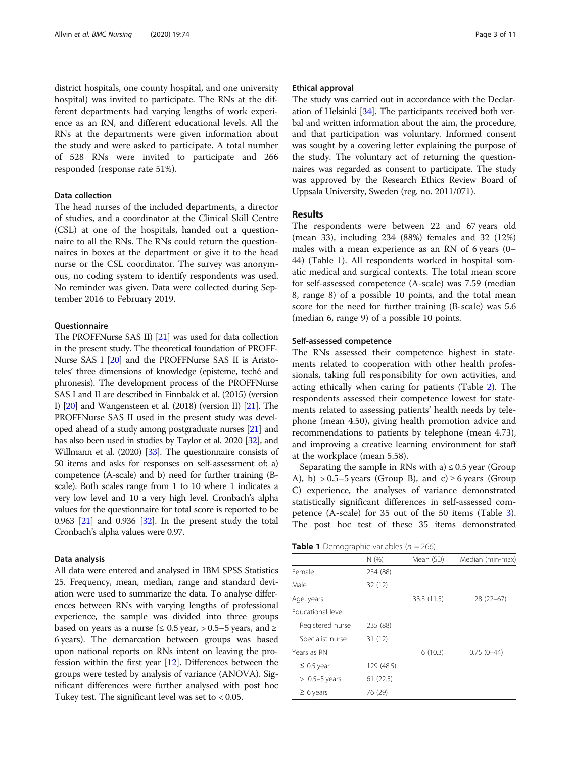district hospitals, one county hospital, and one university hospital) was invited to participate. The RNs at the different departments had varying lengths of work experience as an RN, and different educational levels. All the RNs at the departments were given information about the study and were asked to participate. A total number of 528 RNs were invited to participate and 266 responded (response rate 51%).

# Data collection

The head nurses of the included departments, a director of studies, and a coordinator at the Clinical Skill Centre (CSL) at one of the hospitals, handed out a questionnaire to all the RNs. The RNs could return the questionnaires in boxes at the department or give it to the head nurse or the CSL coordinator. The survey was anonymous, no coding system to identify respondents was used. No reminder was given. Data were collected during September 2016 to February 2019.

# **Ouestionnaire**

The PROFFNurse SAS II) [\[21\]](#page-9-0) was used for data collection in the present study. The theoretical foundation of PROFF-Nurse SAS I [\[20](#page-9-0)] and the PROFFNurse SAS II is Aristoteles' three dimensions of knowledge (episteme, techê and phronesis). The development process of the PROFFNurse SAS I and II are described in Finnbakk et al. (2015) (version I) [[20](#page-9-0)] and Wangensteen et al. (2018) (version II) [\[21\]](#page-9-0). The PROFFNurse SAS II used in the present study was developed ahead of a study among postgraduate nurses [[21\]](#page-9-0) and has also been used in studies by Taylor et al. 2020 [[32](#page-9-0)], and Willmann et al. (2020) [\[33\]](#page-9-0). The questionnaire consists of 50 items and asks for responses on self-assessment of: a) competence (A-scale) and b) need for further training (Bscale). Both scales range from 1 to 10 where 1 indicates a very low level and 10 a very high level. Cronbach's alpha values for the questionnaire for total score is reported to be 0.963 [\[21](#page-9-0)] and 0.936 [\[32\]](#page-9-0). In the present study the total Cronbach's alpha values were 0.97.

# Data analysis

All data were entered and analysed in IBM SPSS Statistics 25. Frequency, mean, median, range and standard deviation were used to summarize the data. To analyse differences between RNs with varying lengths of professional experience, the sample was divided into three groups based on years as a nurse ( $\leq 0.5$  year,  $> 0.5-5$  years, and  $\geq$ 6 years). The demarcation between groups was based upon national reports on RNs intent on leaving the profession within the first year [[12](#page-9-0)]. Differences between the groups were tested by analysis of variance (ANOVA). Significant differences were further analysed with post hoc Tukey test. The significant level was set to < 0.05.

# Ethical approval

The study was carried out in accordance with the Declaration of Helsinki [\[34\]](#page-10-0). The participants received both verbal and written information about the aim, the procedure, and that participation was voluntary. Informed consent was sought by a covering letter explaining the purpose of the study. The voluntary act of returning the questionnaires was regarded as consent to participate. The study was approved by the Research Ethics Review Board of Uppsala University, Sweden (reg. no. 2011/071).

# Results

The respondents were between 22 and 67 years old (mean 33), including 234 (88%) females and 32 (12%) males with a mean experience as an RN of 6 years (0– 44) (Table 1). All respondents worked in hospital somatic medical and surgical contexts. The total mean score for self-assessed competence (A-scale) was 7.59 (median 8, range 8) of a possible 10 points, and the total mean score for the need for further training (B-scale) was 5.6 (median 6, range 9) of a possible 10 points.

# Self-assessed competence

The RNs assessed their competence highest in statements related to cooperation with other health professionals, taking full responsibility for own activities, and acting ethically when caring for patients (Table [2](#page-3-0)). The respondents assessed their competence lowest for statements related to assessing patients' health needs by telephone (mean 4.50), giving health promotion advice and recommendations to patients by telephone (mean 4.73), and improving a creative learning environment for staff at the workplace (mean 5.58).

Separating the sample in RNs with a)  $\leq 0.5$  year (Group A), b) > 0.5–5 years (Group B), and c)  $\geq 6$  years (Group C) experience, the analyses of variance demonstrated statistically significant differences in self-assessed competence (A-scale) for 35 out of the 50 items (Table [3](#page-4-0)). The post hoc test of these 35 items demonstrated

**Table 1** Demographic variables ( $n = 266$ )

|                          | N(%)       | Mean (SD)   | Median (min-max) |
|--------------------------|------------|-------------|------------------|
| Female                   | 234 (88)   |             |                  |
| Male                     | 32 (12)    |             |                  |
| Age, years               |            | 33.3 (11.5) | $28(22-67)$      |
| <b>Educational level</b> |            |             |                  |
| Registered nurse         | 235 (88)   |             |                  |
| Specialist nurse         | 31 (12)    |             |                  |
| Years as RN              |            | 6(10.3)     | $0.75(0-44)$     |
| $\leq$ 0.5 year          | 129 (48.5) |             |                  |
| $> 0.5-5$ years          | 61(22.5)   |             |                  |
| $\geq 6$ years           | 76 (29)    |             |                  |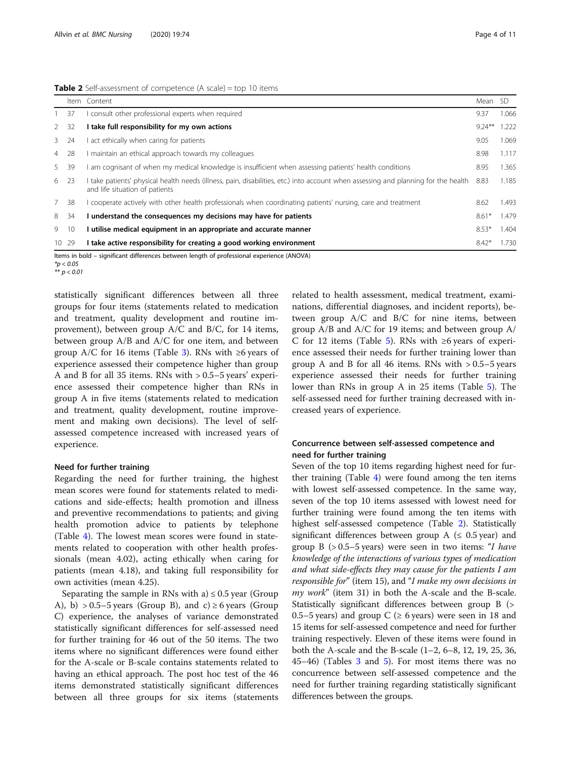<span id="page-3-0"></span>Table 2 Self-assessment of competence (A scale) = top 10 items

|             |     | Item Content                                                                                                                                                         | Mean SD   |       |
|-------------|-----|----------------------------------------------------------------------------------------------------------------------------------------------------------------------|-----------|-------|
|             | 37  | consult other professional experts when required                                                                                                                     | 9.37      | 1.066 |
| 2           | 32  | I take full responsibility for my own actions                                                                                                                        | $9.24***$ | 1.222 |
| $3^{\circ}$ | -24 | act ethically when caring for patients                                                                                                                               | 9.05      | 1.069 |
| 4 28        |     | l maintain an ethical approach towards my colleagues                                                                                                                 | 8.98      | 1.117 |
| 5           | -39 | am cognisant of when my medical knowledge is insufficient when assessing patients' health conditions                                                                 | 8.95      | 1.365 |
| 6 23        |     | I take patients' physical health needs (illness, pain, disabilities, etc.) into account when assessing and planning for the health<br>and life situation of patients | 8.83      | 1.185 |
| 7           | -38 | cooperate actively with other health professionals when coordinating patients' nursing, care and treatment                                                           | 8.62      | 1.493 |
| 8           | 34  | I understand the consequences my decisions may have for patients                                                                                                     | $8.61*$   | 1.479 |
| 9           | 10  | I utilise medical equipment in an appropriate and accurate manner                                                                                                    | $8.53*$   | 1.404 |
| 10 29       |     | I take active responsibility for creating a good working environment                                                                                                 | $8.42*$   | 1.730 |

Items in bold – significant differences between length of professional experience (ANOVA)  $\ast$ p < 0.05

 $\mathbf{r}$  p  $\mathbf{r}$ 

statistically significant differences between all three groups for four items (statements related to medication and treatment, quality development and routine improvement), between group A/C and B/C, for 14 items, between group A/B and A/C for one item, and between group A/C for 16 items (Table [3\)](#page-4-0). RNs with  $\geq 6$  years of experience assessed their competence higher than group A and B for all 35 items. RNs with > 0.5–5 years' experience assessed their competence higher than RNs in group A in five items (statements related to medication and treatment, quality development, routine improvement and making own decisions). The level of selfassessed competence increased with increased years of experience.

# Need for further training

Regarding the need for further training, the highest mean scores were found for statements related to medications and side-effects; health promotion and illness and preventive recommendations to patients; and giving health promotion advice to patients by telephone (Table [4\)](#page-6-0). The lowest mean scores were found in statements related to cooperation with other health professionals (mean 4.02), acting ethically when caring for patients (mean 4.18), and taking full responsibility for own activities (mean 4.25).

Separating the sample in RNs with a)  $\leq 0.5$  year (Group A), b) > 0.5–5 years (Group B), and c)  $\geq$  6 years (Group C) experience, the analyses of variance demonstrated statistically significant differences for self-assessed need for further training for 46 out of the 50 items. The two items where no significant differences were found either for the A-scale or B-scale contains statements related to having an ethical approach. The post hoc test of the 46 items demonstrated statistically significant differences between all three groups for six items (statements

related to health assessment, medical treatment, examinations, differential diagnoses, and incident reports), between group A/C and B/C for nine items, between group A/B and A/C for 19 items; and between group A/ C for 12 items (Table [5](#page-7-0)). RNs with  $\geq 6$  years of experience assessed their needs for further training lower than group A and B for all 46 items. RNs with  $> 0.5-5$  years experience assessed their needs for further training lower than RNs in group A in 25 items (Table [5](#page-7-0)). The self-assessed need for further training decreased with increased years of experience.

# Concurrence between self-assessed competence and need for further training

Seven of the top 10 items regarding highest need for further training (Table  $4$ ) were found among the ten items with lowest self-assessed competence. In the same way, seven of the top 10 items assessed with lowest need for further training were found among the ten items with highest self-assessed competence (Table 2). Statistically significant differences between group A ( $\leq 0.5$  year) and group B  $(> 0.5-5$  years) were seen in two items: "I have knowledge of the interactions of various types of medication and what side-effects they may cause for the patients I am responsible for" (item 15), and "I make my own decisions in  $my work$ " (item 31) in both the A-scale and the B-scale. Statistically significant differences between group B (> 0.5–5 years) and group C ( $\geq 6$  years) were seen in 18 and 15 items for self-assessed competence and need for further training respectively. Eleven of these items were found in both the A-scale and the B-scale (1–2, 6–8, 12, 19, 25, 36, 45–46) (Tables [3](#page-4-0) and [5](#page-7-0)). For most items there was no concurrence between self-assessed competence and the need for further training regarding statistically significant differences between the groups.

 $** n < 0.05$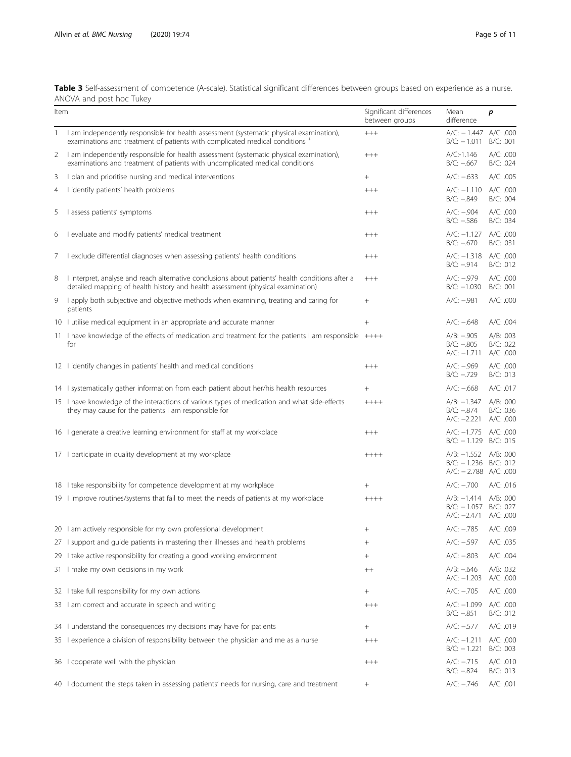<span id="page-4-0"></span>Table 3 Self-assessment of competence (A-scale). Statistical significant differences between groups based on experience as a nurse. ANOVA and post hoc Tukey

| Item |                                                                                                                                                                                     | Significant differences<br>between groups | Mean<br>difference                                                              | p                                   |
|------|-------------------------------------------------------------------------------------------------------------------------------------------------------------------------------------|-------------------------------------------|---------------------------------------------------------------------------------|-------------------------------------|
| 1    | I am independently responsible for health assessment (systematic physical examination),<br>examinations and treatment of patients with complicated medical conditions +             | $++++$                                    | $A/C: -1.447 A/C: 000$<br>$B/C: -1.011$                                         | B/C: .001                           |
| 2    | I am independently responsible for health assessment (systematic physical examination),<br>examinations and treatment of patients with uncomplicated medical conditions             | $^{+++}$                                  | A/C:1.146<br>$B/C: -0.667$                                                      | A/C: .000<br>B/C: .024              |
| 3    | I plan and prioritise nursing and medical interventions                                                                                                                             | $^{+}$                                    | $A/C: -0.633$                                                                   | A/C: .005                           |
| 4    | I identify patients' health problems                                                                                                                                                | $++++$                                    | $A/C: -1.110$<br>$B/C: -0.849$                                                  | A/C: .000<br>B/C: .004              |
| 5    | I assess patients' symptoms                                                                                                                                                         | $++++$                                    | $A/C: -.904$<br>$B/C: -.586$                                                    | A/C: .000<br>B/C: .034              |
| 6    | I evaluate and modify patients' medical treatment                                                                                                                                   | $++++$                                    | $A/C: -1.127$<br>$B/C: -0.670$                                                  | A/C: .000<br>B/C: .031              |
| 7.   | I exclude differential diagnoses when assessing patients' health conditions                                                                                                         | $++++$                                    | $A/C: -1.318$<br>$B/C: -.914$                                                   | A/C: .000<br>B/C: .012              |
| 8    | I interpret, analyse and reach alternative conclusions about patients' health conditions after a<br>detailed mapping of health history and health assessment (physical examination) | $++++$                                    | A/C: -.979<br>$B/C: -1.030$                                                     | A/C: .000<br>B/C: .001              |
| 9    | I apply both subjective and objective methods when examining, treating and caring for<br>patients                                                                                   | $\! + \!\!\!\!$                           | $A/C: -.981$                                                                    | A/C: .000                           |
|      | 10 I utilise medical equipment in an appropriate and accurate manner                                                                                                                | $\! + \!\!\!\!$                           | $A/C: -0.648$                                                                   | A/C: .004                           |
|      | 11 I have knowledge of the effects of medication and treatment for the patients I am responsible $++++$<br>for                                                                      |                                           | $A/B: -.905$<br>$B/C: -.805$<br>$A/C: -1.711$                                   | A/B: .003<br>B/C: .022<br>A/C: .000 |
|      | 12 I identify changes in patients' health and medical conditions                                                                                                                    | $++++$                                    | $A/C: -.969$<br>$B/C: -.729$                                                    | A/C: .000<br>B/C: .013              |
|      | 14 I systematically gather information from each patient about her/his health resources                                                                                             |                                           | $A/C: -0.668$                                                                   | A/C: .017                           |
|      | 15 I have knowledge of the interactions of various types of medication and what side-effects<br>they may cause for the patients I am responsible for                                | $++++$                                    | $A/B: -1.347$<br>$B/C: -0.874$<br>$A/C: -2.221$                                 | A/B: .000<br>B/C: .036<br>A/C: .000 |
|      | 16 I generate a creative learning environment for staff at my workplace                                                                                                             | $+++$                                     | A/C: -1.775 A/C: .000<br>$B/C: -1.129$ $B/C: .015$                              |                                     |
|      | 17 I participate in quality development at my workplace                                                                                                                             | $++++$                                    | A/B: -1.552 A/B: .000<br>$B/C: -1.236$ $B/C: .012$<br>$A/C: -2.788$ $A/C: .000$ |                                     |
|      | 18 I take responsibility for competence development at my workplace                                                                                                                 | $^{+}$                                    | $A/C: -700$                                                                     | A/C: .016                           |
|      | 19 I improve routines/systems that fail to meet the needs of patients at my workplace                                                                                               | $+++++$                                   | A/B: -1.414 A/B: .000<br>$B/C: -1.057$<br>$A/C: -2.471$                         | B/C: .027<br>A/C: .000              |
|      | 20 I am actively responsible for my own professional development                                                                                                                    |                                           | $A/C: -.785$                                                                    | A/C: .009                           |
|      | 27 I support and guide patients in mastering their illnesses and health problems                                                                                                    | $\! + \!\!\!\!$                           | $A/C: -597$                                                                     | A/C: .035                           |
|      | 29 I take active responsibility for creating a good working environment                                                                                                             | $^{+}$                                    | $A/C: -0.803$                                                                   | A/C: .004                           |
|      | 31 I make my own decisions in my work                                                                                                                                               | $^{++}$                                   | $A/B: -0.646$<br>$A/C: -1.203$                                                  | A/B: .032<br>A/C: .000              |
|      | 32 I take full responsibility for my own actions                                                                                                                                    | $\! + \!\!\!\!$                           | $A/C: -.705$                                                                    | A/C: .000                           |
|      | 33 I am correct and accurate in speech and writing                                                                                                                                  | $++++$                                    | $A/C: -1.099$<br>$B/C: -.851$                                                   | A/C: .000<br>B/C: .012              |
|      | 34 I understand the consequences my decisions may have for patients                                                                                                                 | $^{+}$                                    | $A/C: -577$                                                                     | A/C: .019                           |
|      | 35 I experience a division of responsibility between the physician and me as a nurse                                                                                                | $^{+++}$                                  | $A/C: -1.211$<br>$B/C: -1.221$                                                  | A/C: .000<br>B/C: .003              |
|      | 36 I cooperate well with the physician                                                                                                                                              | $^{+++}$                                  | $A/C: -.715$<br>$B/C: -0.824$                                                   | A/C: .010<br>B/C: .013              |
|      | 40 I document the steps taken in assessing patients' needs for nursing, care and treatment                                                                                          | $^{+}$                                    | $A/C: -.746$                                                                    | A/C: .001                           |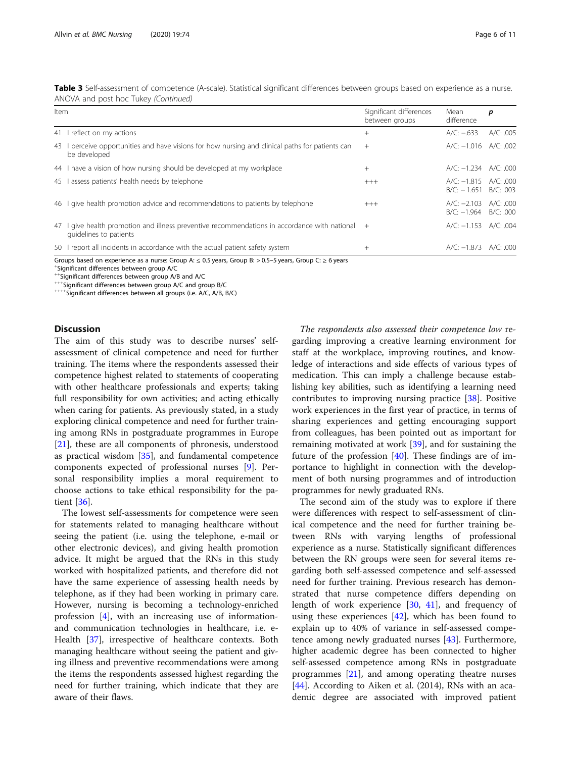| Item |                                                                                                                        | Significant differences<br>between groups | Mean<br>difference                                  | p         |  |
|------|------------------------------------------------------------------------------------------------------------------------|-------------------------------------------|-----------------------------------------------------|-----------|--|
|      | 41 I reflect on my actions                                                                                             | $^{+}$                                    | $A/C: -633$                                         | A/C: .005 |  |
|      | 43 L perceive opportunities and have visions for how nursing and clinical paths for patients can<br>be developed       | $+$                                       | A/C: -1.016 A/C: .002                               |           |  |
|      | 44 I have a vision of how nursing should be developed at my workplace                                                  | $^{+}$                                    | $A/C: -1.234$ $A/C: .000$                           |           |  |
|      | 45 lassess patients' health needs by telephone                                                                         | $+++$                                     | $A/C: -1.815$ $A/C: 000$<br>$B/C: -1.651 B/C: .003$ |           |  |
|      | 46 I give health promotion advice and recommendations to patients by telephone                                         | $+++$                                     | $A/C: -2.103$ $A/C: 000$<br>B/C: -1.964 B/C: .000   |           |  |
| 47   | I give health promotion and illness preventive recommendations in accordance with national +<br>quidelines to patients |                                           | A/C: -1.153 A/C: .004                               |           |  |
|      | 50 I report all incidents in accordance with the actual patient safety system                                          | $^{+}$                                    | A/C: -1.873 A/C: .000                               |           |  |

Table 3 Self-assessment of competence (A-scale). Statistical significant differences between groups based on experience as a nurse. ANOVA and post hoc Tukey (Continued)

Groups based on experience as a nurse: Group A:  $\leq 0.5$  years, Group B: > 0.5–5 years, Group C:  $\geq 6$  years

Significant differences between group A/C

++Significant differences between group A/B and A/C<br>+++Significant differences between group A/C and group B/C<br>++++Significant differences between all groups (i.e. A/C, A/B, B/C)

# **Discussion**

The aim of this study was to describe nurses' selfassessment of clinical competence and need for further training. The items where the respondents assessed their competence highest related to statements of cooperating with other healthcare professionals and experts; taking full responsibility for own activities; and acting ethically when caring for patients. As previously stated, in a study exploring clinical competence and need for further training among RNs in postgraduate programmes in Europe [[21\]](#page-9-0), these are all components of phronesis, understood as practical wisdom [\[35](#page-10-0)], and fundamental competence components expected of professional nurses [\[9](#page-9-0)]. Personal responsibility implies a moral requirement to choose actions to take ethical responsibility for the patient [[36](#page-10-0)].

The lowest self-assessments for competence were seen for statements related to managing healthcare without seeing the patient (i.e. using the telephone, e-mail or other electronic devices), and giving health promotion advice. It might be argued that the RNs in this study worked with hospitalized patients, and therefore did not have the same experience of assessing health needs by telephone, as if they had been working in primary care. However, nursing is becoming a technology-enriched profession [[4\]](#page-9-0), with an increasing use of informationand communication technologies in healthcare, i.e. e-Health [\[37](#page-10-0)], irrespective of healthcare contexts. Both managing healthcare without seeing the patient and giving illness and preventive recommendations were among the items the respondents assessed highest regarding the need for further training, which indicate that they are aware of their flaws.

The respondents also assessed their competence low regarding improving a creative learning environment for staff at the workplace, improving routines, and knowledge of interactions and side effects of various types of medication. This can imply a challenge because establishing key abilities, such as identifying a learning need contributes to improving nursing practice [[38\]](#page-10-0). Positive work experiences in the first year of practice, in terms of sharing experiences and getting encouraging support from colleagues, has been pointed out as important for remaining motivated at work [\[39](#page-10-0)], and for sustaining the future of the profession  $[40]$  $[40]$  $[40]$ . These findings are of importance to highlight in connection with the development of both nursing programmes and of introduction programmes for newly graduated RNs.

The second aim of the study was to explore if there were differences with respect to self-assessment of clinical competence and the need for further training between RNs with varying lengths of professional experience as a nurse. Statistically significant differences between the RN groups were seen for several items regarding both self-assessed competence and self-assessed need for further training. Previous research has demonstrated that nurse competence differs depending on length of work experience [[30,](#page-9-0) [41](#page-10-0)], and frequency of using these experiences  $[42]$  $[42]$  $[42]$ , which has been found to explain up to 40% of variance in self-assessed competence among newly graduated nurses [[43\]](#page-10-0). Furthermore, higher academic degree has been connected to higher self-assessed competence among RNs in postgraduate programmes [[21\]](#page-9-0), and among operating theatre nurses [[44\]](#page-10-0). According to Aiken et al. (2014), RNs with an academic degree are associated with improved patient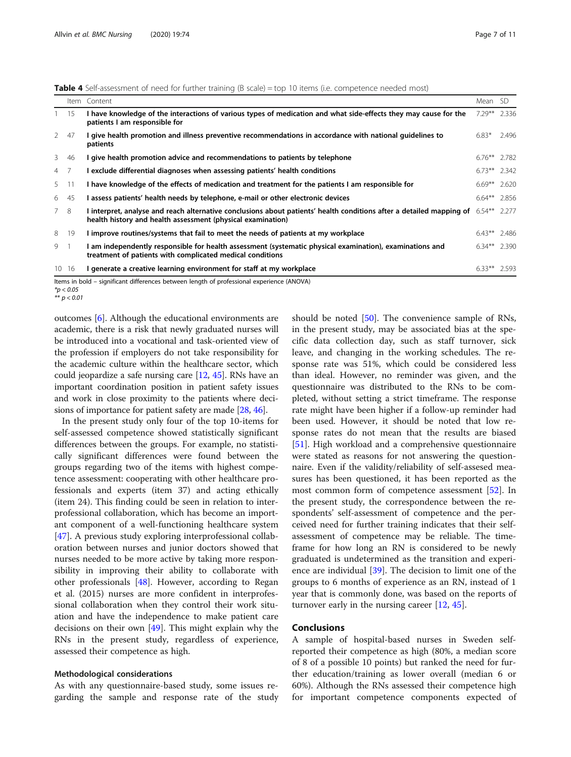<span id="page-6-0"></span>

|               |       | Item Content                                                                                                                                                                                        | Mean SD         |       |
|---------------|-------|-----------------------------------------------------------------------------------------------------------------------------------------------------------------------------------------------------|-----------------|-------|
|               | 15    | I have knowledge of the interactions of various types of medication and what side-effects they may cause for the<br>patients I am responsible for                                                   | $7.29***$       | 2.336 |
| $\mathcal{P}$ | 47    | I give health promotion and illness preventive recommendations in accordance with national guidelines to<br>patients                                                                                | $6.83*$         | 2.496 |
| 3             | 46    | I give health promotion advice and recommendations to patients by telephone                                                                                                                         | $6.76***$ 2.782 |       |
| 4 7           |       | I exclude differential diagnoses when assessing patients' health conditions                                                                                                                         | $6.73***$ 2.342 |       |
| 5 11          |       | I have knowledge of the effects of medication and treatment for the patients I am responsible for                                                                                                   | $6.69***$ 2.620 |       |
| 6.            | -45   | l assess patients' health needs by telephone, e-mail or other electronic devices                                                                                                                    | $6.64**$ 2.856  |       |
| 7 8           |       | I interpret, analyse and reach alternative conclusions about patients' health conditions after a detailed mapping of $6.54***$ 2.277<br>health history and health assessment (physical examination) |                 |       |
| 8             | 19    | I improve routines/systems that fail to meet the needs of patients at my workplace                                                                                                                  | $6.43***$ 2.486 |       |
| 9             |       | I am independently responsible for health assessment (systematic physical examination), examinations and<br>treatment of patients with complicated medical conditions                               | 6.34** 2.390    |       |
|               | 10 16 | l generate a creative learning environment for staff at my workplace                                                                                                                                | $6.33***$ 2.593 |       |

Items in bold – significant differences between length of professional experience (ANOVA)

 $** n < 0.05$ 

 $\mathbf{r}$  p  $\mathbf{r}$ 

outcomes [[6](#page-9-0)]. Although the educational environments are academic, there is a risk that newly graduated nurses will be introduced into a vocational and task-oriented view of the profession if employers do not take responsibility for the academic culture within the healthcare sector, which could jeopardize a safe nursing care [\[12,](#page-9-0) [45](#page-10-0)]. RNs have an important coordination position in patient safety issues and work in close proximity to the patients where decisions of importance for patient safety are made [\[28,](#page-9-0) [46](#page-10-0)].

In the present study only four of the top 10-items for self-assessed competence showed statistically significant differences between the groups. For example, no statistically significant differences were found between the groups regarding two of the items with highest competence assessment: cooperating with other healthcare professionals and experts (item 37) and acting ethically (item 24). This finding could be seen in relation to interprofessional collaboration, which has become an important component of a well-functioning healthcare system [[47\]](#page-10-0). A previous study exploring interprofessional collaboration between nurses and junior doctors showed that nurses needed to be more active by taking more responsibility in improving their ability to collaborate with other professionals [[48\]](#page-10-0). However, according to Regan et al. (2015) nurses are more confident in interprofessional collaboration when they control their work situation and have the independence to make patient care decisions on their own [[49](#page-10-0)]. This might explain why the RNs in the present study, regardless of experience, assessed their competence as high.

#### Methodological considerations

As with any questionnaire-based study, some issues regarding the sample and response rate of the study should be noted [\[50](#page-10-0)]. The convenience sample of RNs, in the present study, may be associated bias at the specific data collection day, such as staff turnover, sick leave, and changing in the working schedules. The response rate was 51%, which could be considered less than ideal. However, no reminder was given, and the questionnaire was distributed to the RNs to be completed, without setting a strict timeframe. The response rate might have been higher if a follow-up reminder had been used. However, it should be noted that low response rates do not mean that the results are biased [[51\]](#page-10-0). High workload and a comprehensive questionnaire were stated as reasons for not answering the questionnaire. Even if the validity/reliability of self-assesed measures has been questioned, it has been reported as the most common form of competence assessment [[52\]](#page-10-0). In the present study, the correspondence between the respondents' self-assessment of competence and the perceived need for further training indicates that their selfassessment of competence may be reliable. The timeframe for how long an RN is considered to be newly graduated is undetermined as the transition and experience are individual [[39](#page-10-0)]. The decision to limit one of the groups to 6 months of experience as an RN, instead of 1 year that is commonly done, was based on the reports of turnover early in the nursing career  $[12, 45]$  $[12, 45]$  $[12, 45]$  $[12, 45]$ .

# Conclusions

A sample of hospital-based nurses in Sweden selfreported their competence as high (80%, a median score of 8 of a possible 10 points) but ranked the need for further education/training as lower overall (median 6 or 60%). Although the RNs assessed their competence high for important competence components expected of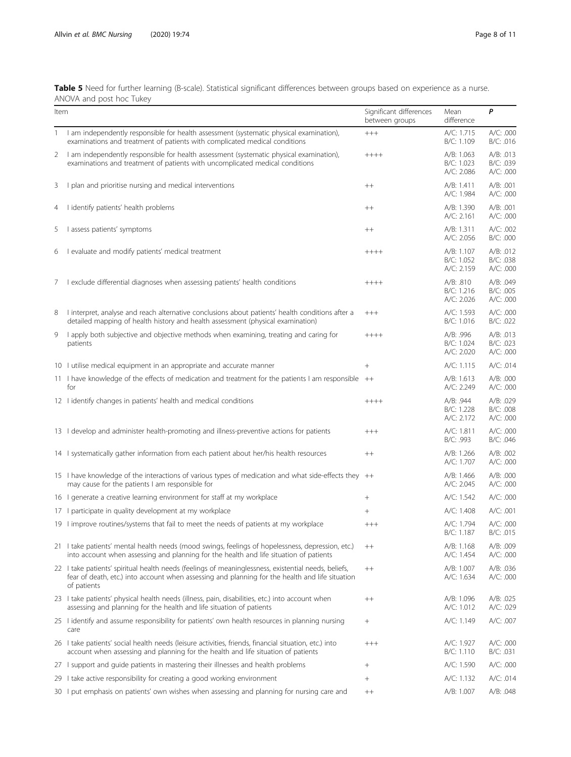<span id="page-7-0"></span>Table 5 Need for further learning (B-scale). Statistical significant differences between groups based on experience as a nurse. ANOVA and post hoc Tukey

| Item |                                                                                                                                                                                                                        | Significant differences<br>between groups | Mean<br>difference                     | P                                   |
|------|------------------------------------------------------------------------------------------------------------------------------------------------------------------------------------------------------------------------|-------------------------------------------|----------------------------------------|-------------------------------------|
| 1    | I am independently responsible for health assessment (systematic physical examination),<br>examinations and treatment of patients with complicated medical conditions                                                  | $^{+++}$                                  | A/C: 1.715<br>B/C: 1.109               | A/C: .000<br>B/C: .016              |
| 2    | I am independently responsible for health assessment (systematic physical examination),<br>examinations and treatment of patients with uncomplicated medical conditions                                                | $+++++$                                   | A/B: 1.063<br>B/C: 1.023<br>A/C: 2.086 | A/B: .013<br>B/C: .039<br>A/C: .000 |
| 3    | I plan and prioritise nursing and medical interventions                                                                                                                                                                | $^{++}$                                   | A/B: 1.411<br>A/C: 1.984               | A/B: .001<br>A/C: .000              |
| 4    | I identify patients' health problems                                                                                                                                                                                   | $++$                                      | A/B: 1.390<br>A/C: 2.161               | A/B: .001<br>A/C: .000              |
| 5    | I assess patients' symptoms                                                                                                                                                                                            | $^{++}$                                   | A/B: 1.311<br>A/C: 2.056               | A/C: .002<br>B/C: .000              |
| 6    | I evaluate and modify patients' medical treatment                                                                                                                                                                      | $+++++$                                   | A/B: 1.107<br>B/C: 1.052<br>A/C: 2.159 | A/B: .012<br>B/C: .038<br>A/C: .000 |
| 7    | I exclude differential diagnoses when assessing patients' health conditions                                                                                                                                            | $+++++$                                   | A/B: .810<br>B/C: 1.216<br>A/C: 2.026  | A/B: .049<br>B/C: .005<br>A/C: .000 |
| 8    | I interpret, analyse and reach alternative conclusions about patients' health conditions after a<br>detailed mapping of health history and health assessment (physical examination)                                    | $++++$                                    | A/C: 1.593<br>B/C: 1.016               | A/C: .000<br>B/C: .022              |
| 9    | I apply both subjective and objective methods when examining, treating and caring for<br>patients                                                                                                                      | $+++++$                                   | A/B: .996<br>B/C: 1.024<br>A/C: 2.020  | A/B: .013<br>B/C: .023<br>A/C: .000 |
|      | 10 I utilise medical equipment in an appropriate and accurate manner                                                                                                                                                   | $^{+}$                                    | A/C: 1.115                             | A/C: .014                           |
|      | 11 I have knowledge of the effects of medication and treatment for the patients I am responsible ++<br>for                                                                                                             |                                           | A/B: 1.613<br>A/C: 2.249               | A/B: .000<br>A/C: .000              |
|      | 12 I identify changes in patients' health and medical conditions                                                                                                                                                       | $+++++$                                   | A/B: .944<br>B/C: 1.228<br>A/C: 2.172  | A/B: .029<br>B/C: .008<br>A/C: .000 |
|      | 13 I develop and administer health-promoting and illness-preventive actions for patients                                                                                                                               | $++++$                                    | A/C: 1.811<br>B/C: .993                | A/C: .000<br>B/C: .046              |
|      | 14 I systematically gather information from each patient about her/his health resources                                                                                                                                | $^{++}$                                   | A/B: 1.266<br>A/C: 1.707               | A/B: .002<br>A/C: .000              |
|      | 15 I have knowledge of the interactions of various types of medication and what side-effects they ++<br>may cause for the patients I am responsible for                                                                |                                           | A/B: 1.466<br>A/C: 2.045               | A/B: .000<br>A/C: .000              |
|      | 16 I generate a creative learning environment for staff at my workplace                                                                                                                                                | $^{+}$                                    | A/C: 1.542                             | A/C: .000                           |
|      | 17 I participate in quality development at my workplace                                                                                                                                                                | $^{+}$                                    | A/C: 1.408                             | A/C: .001                           |
|      | 19 limprove routines/systems that fail to meet the needs of patients at my workplace                                                                                                                                   | $++++$                                    | A/C: 1.794<br>B/C: 1.187               | A/C: .000<br>B/C: .015              |
|      | 21 I take patients' mental health needs (mood swings, feelings of hopelessness, depression, etc.)<br>into account when assessing and planning for the health and life situation of patients                            | $^{++}$                                   | A/B: 1.168<br>A/C: 1.454               | A/B: .009<br>A/C: .000              |
|      | 22 I take patients' spiritual health needs (feelings of meaninglessness, existential needs, beliefs,<br>fear of death, etc.) into account when assessing and planning for the health and life situation<br>of patients | $^{++}$                                   | A/B: 1.007<br>A/C: 1.634               | A/B: .036<br>A/C: .000              |
|      | 23 I take patients' physical health needs (illness, pain, disabilities, etc.) into account when<br>assessing and planning for the health and life situation of patients                                                | $^{++}$                                   | A/B: 1.096<br>A/C: 1.012               | A/B: .025<br>A/C: .029              |
|      | 25 lidentify and assume responsibility for patients' own health resources in planning nursing<br>care                                                                                                                  | $\! + \!\!\!\!$                           | A/C: 1.149                             | A/C: .007                           |
|      | 26 I take patients' social health needs (leisure activities, friends, financial situation, etc.) into<br>account when assessing and planning for the health and life situation of patients                             | $++++$                                    | A/C: 1.927<br>B/C: 1.110               | A/C: .000<br>B/C: .031              |
|      | 27 I support and guide patients in mastering their illnesses and health problems                                                                                                                                       | $^{+}$                                    | A/C: 1.590                             | A/C: .000                           |
|      | 29 I take active responsibility for creating a good working environment                                                                                                                                                | $^{+}$                                    | A/C: 1.132                             | A/C: .014                           |
|      | 30 I put emphasis on patients' own wishes when assessing and planning for nursing care and                                                                                                                             | $^{++}$                                   | A/B: 1.007                             | A/B: .048                           |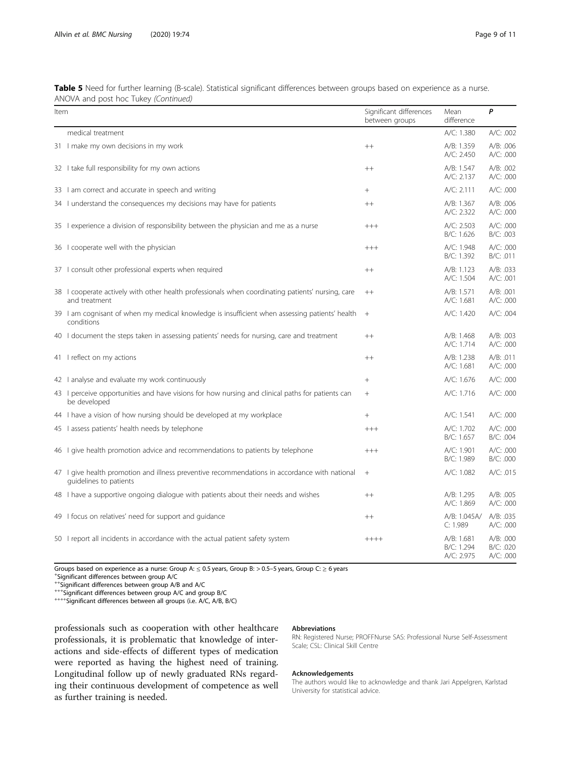|                                      | Table 5 Need for further learning (B-scale). Statistical significant differences between groups based on experience as a nurse. |
|--------------------------------------|---------------------------------------------------------------------------------------------------------------------------------|
| ANOVA and post hoc Tukey (Continued) |                                                                                                                                 |

| Item |                                                                                                                         | Significant differences<br>between groups | Mean<br>difference                     | P                                   |
|------|-------------------------------------------------------------------------------------------------------------------------|-------------------------------------------|----------------------------------------|-------------------------------------|
|      | medical treatment                                                                                                       |                                           | A/C: 1.380                             | A/C: .002                           |
|      | 31 I make my own decisions in my work                                                                                   | $^{++}$                                   | A/B: 1.359<br>A/C: 2.450               | A/B: .006<br>A/C: .000              |
|      | 32 I take full responsibility for my own actions                                                                        | $^{++}$                                   | A/B: 1.547<br>A/C: 2.137               | A/B: .002<br>A/C: .000              |
|      | 33 I am correct and accurate in speech and writing                                                                      | $^{+}$                                    | A/C: 2.111                             | A/C: .000                           |
|      | 34 I understand the consequences my decisions may have for patients                                                     | $++$                                      | A/B: 1.367<br>A/C: 2.322               | A/B: .006<br>A/C: .000              |
|      | 35 Lexperience a division of responsibility between the physician and me as a nurse                                     | $+++$                                     | A/C: 2.503<br>B/C: 1.626               | A/C: .000<br>B/C: .003              |
|      | 36 I cooperate well with the physician                                                                                  | $^{+++}$                                  | A/C: 1.948<br>B/C: 1.392               | A/C: .000<br>B/C: .011              |
|      | 37 I consult other professional experts when required                                                                   | $++$                                      | A/B: 1.123<br>A/C: 1.504               | A/B: .033<br>A/C: .001              |
|      | 38 I cooperate actively with other health professionals when coordinating patients' nursing, care<br>and treatment      | $^{++}$                                   | A/B: 1.571<br>A/C: 1.681               | A/B: .001<br>A/C: .000              |
|      | 39 I am cognisant of when my medical knowledge is insufficient when assessing patients' health<br>conditions            | $^{+}$                                    | A/C: 1.420                             | A/C: .004                           |
|      | 40 I document the steps taken in assessing patients' needs for nursing, care and treatment                              | $++$                                      | A/B: 1.468<br>A/C: 1.714               | A/B: .003<br>A/C: .000              |
|      | 41 I reflect on my actions                                                                                              | $++$                                      | A/B: 1.238<br>A/C: 1.681               | A/B: .011<br>A/C: .000              |
|      | 42 I analyse and evaluate my work continuously                                                                          |                                           | A/C: 1.676                             | A/C: .000                           |
|      | 43 I perceive opportunities and have visions for how nursing and clinical paths for patients can<br>be developed        | $+$                                       | A/C: 1.716                             | A/C: .000                           |
|      | 44 I have a vision of how nursing should be developed at my workplace                                                   | $+$                                       | A/C: 1.541                             | A/C: .000                           |
|      | 45 lassess patients' health needs by telephone                                                                          | $+++$                                     | A/C: 1.702<br>B/C: 1.657               | A/C: .000<br>B/C: .004              |
|      | 46 I give health promotion advice and recommendations to patients by telephone                                          | $^{+++}$                                  | A/C: 1.901<br>B/C: 1.989               | A/C: .000<br>B/C: .000              |
|      | 47 I give health promotion and illness preventive recommendations in accordance with national<br>quidelines to patients | $^{+}$                                    | A/C: 1.082                             | A/C: .015                           |
|      | 48 I have a supportive ongoing dialogue with patients about their needs and wishes                                      | $++$                                      | A/B: 1.295<br>A/C: 1.869               | A/B: .005<br>A/C: .000              |
|      | 49 I focus on relatives' need for support and quidance                                                                  | $^{++}$                                   | A/B: 1.045A/<br>C: 1.989               | A/B: .035<br>A/C: .000              |
|      | 50 I report all incidents in accordance with the actual patient safety system                                           | $+++++$                                   | A/B: 1.681<br>B/C: 1.294<br>A/C: 2.975 | A/B: .000<br>B/C: .020<br>A/C: .000 |

Groups based on experience as a nurse: Group A:  $\leq$  0.5 years, Group B: > 0.5-5 years, Group C:  $\geq$  6 years

\*Significant differences between group A/C<br>\*\*Significant differences between group A/B and A/C

+++Significant differences between group A/C and group B/C<br>++++Significant differences between all groups (i.e. A/C, A/B, B/C)

professionals such as cooperation with other healthcare professionals, it is problematic that knowledge of interactions and side-effects of different types of medication were reported as having the highest need of training. Longitudinal follow up of newly graduated RNs regarding their continuous development of competence as well as further training is needed.

# Abbreviations

RN: Registered Nurse; PROFFNurse SAS: Professional Nurse Self-Assessment Scale; CSL: Clinical Skill Centre

# Acknowledgements

The authors would like to acknowledge and thank Jari Appelgren, Karlstad University for statistical advice.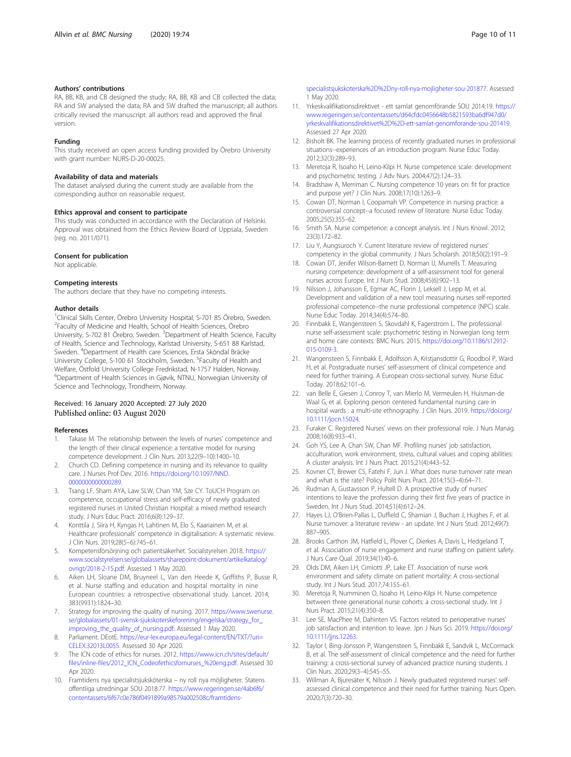# <span id="page-9-0"></span>Authors' contributions

RA, BB, KB, and CB designed the study; RA, BB, KB and CB collected the data; RA and SW analysed the data; RA and SW drafted the manuscript; all authors critically revised the manuscript: all authors read and approved the final version.

### Funding

This study received an open access funding provided by Örebro University with grant number: NURS-D-20-00025.

# Availability of data and materials

The dataset analysed during the current study are available from the corresponding author on reasonable request.

#### Ethics approval and consent to participate

This study was conducted in accordance with the Declaration of Helsinki. Approval was obtained from the Ethics Review Board of Uppsala, Sweden (reg. no. 2011/071).

#### Consent for publication

Not applicable.

## Competing interests

The authors declare that they have no competing interests.

# Author details

<sup>1</sup>Clinical Skills Center, Örebro University Hospital, S-701 85 Örebro, Sweden. 2 Faculty of Medicine and Health, School of Health Sciences, Örebro University, S-702 81 Örebro, Sweden. <sup>3</sup>Department of Health Science, Faculty of Health, Science and Technology, Karlstad University, S-651 88 Karlstad, Sweden. <sup>4</sup> Department of Health care Sciences, Ersta Sköndal Bräcke University College, S-100 61 Stockholm, Sweden. <sup>5</sup>Faculty of Health and Welfare, Östfold University College Fredrikstad, N-1757 Halden, Norway. 6 Department of Health Sciences in Gjøvik, NTNU, Norwegian University of Science and Technology, Trondheim, Norway.

# Received: 16 January 2020 Accepted: 27 July 2020 Published online: 03 August 2020

#### References

- Takase M. The relationship between the levels of nurses' competence and the length of their clinical experience: a tentative model for nursing competence development. J Clin Nurs. 2013;22(9–10):1400–10.
- 2. Church CD. Defining competence in nursing and its relevance to quality care. J Nurses Prof Dev. 2016. [https://doi.org/10.1097/NND.](https://doi.org/10.1097/NND.0000000000000289) [0000000000000289](https://doi.org/10.1097/NND.0000000000000289).
- 3. Tsang LF, Sham AYA, Law SLW, Chan YM, Sze CY. ToUCH Program on competence, occupational stress and self-efficacy of newly graduated registered nurses in United Christian Hospital: a mixed method research study. J Nurs Educ Pract. 2016;6(8):129–37.
- 4. Konttila J, Siira H, Kyngas H, Lahtinen M, Elo S, Kaariainen M, et al. Healthcare professionals' competence in digitalisation: A systematic review. J Clin Nurs. 2019;28(5–6):745–61.
- 5. Kompetensförsörjning och patientsäkerhet. Socialstyrelsen 2018. [https://](https://www.socialstyrelsen.se/globalassets/sharepoint-dokument/artikelkatalog/ovrigt/2018-2-15.pdf) [www.socialstyrelsen.se/globalassets/sharepoint-dokument/artikelkatalog/](https://www.socialstyrelsen.se/globalassets/sharepoint-dokument/artikelkatalog/ovrigt/2018-2-15.pdf) [ovrigt/2018-2-15.pdf](https://www.socialstyrelsen.se/globalassets/sharepoint-dokument/artikelkatalog/ovrigt/2018-2-15.pdf). Assessed 1 May 2020.
- 6. Aiken LH, Sloane DM, Bruyneel L, Van den Heede K, Griffiths P, Busse R, et al. Nurse staffing and education and hospital mortality in nine European countries: a retrospective observational study. Lancet. 2014; 383(9931):1824–30.
- 7. Strategy for improving the quality of nursing. 2017. [https://www.swenurse.](https://www.swenurse.se/globalassets/01-svensk-sjukskoterskeforening/engelska/strategy_for_improving_the_quality_of_nursing.pdf) [se/globalassets/01-svensk-sjukskoterskeforening/engelska/strategy\\_for\\_](https://www.swenurse.se/globalassets/01-svensk-sjukskoterskeforening/engelska/strategy_for_improving_the_quality_of_nursing.pdf) [improving\\_the\\_quality\\_of\\_nursing.pdf](https://www.swenurse.se/globalassets/01-svensk-sjukskoterskeforening/engelska/strategy_for_improving_the_quality_of_nursing.pdf). Assessed 1 May 2020.
- 8. Parliament. DEotE. [https://eur-lex.europa.eu/legal-content/EN/TXT/?uri=](https://eur-lex.europa.eu/legal-content/EN/TXT/?uri=CELEX:32013L0055) [CELEX:32013L0055](https://eur-lex.europa.eu/legal-content/EN/TXT/?uri=CELEX:32013L0055). Assessed 30 Apr 2020.
- 9. The ICN code of ethics for nurses. 2012. [https://www.icn.ch/sites/default/](https://www.icn.ch/sites/default/files/inline-files/2012_ICN_Codeofethicsfornurses_%20eng.pdf) [files/inline-files/2012\\_ICN\\_Codeofethicsfornurses\\_%20eng.pdf](https://www.icn.ch/sites/default/files/inline-files/2012_ICN_Codeofethicsfornurses_%20eng.pdf). Assessed 30 Apr 2020.
- 10. Framtidens nya specialistsjuksköterska ny roll nya möjligheter. Statens offentliga utredningar SOU 2018:77. [https://www.regeringen.se/4ab6f6/](https://www.regeringen.se/4ab6f6/contentassets/6f67c0e786f0491899a98579a002508c/framtidens-specialistsjukskoterska%2D%2Dny-roll-nya-mojligheter-sou-201877) [contentassets/6f67c0e786f0491899a98579a002508c/framtidens-](https://www.regeringen.se/4ab6f6/contentassets/6f67c0e786f0491899a98579a002508c/framtidens-specialistsjukskoterska%2D%2Dny-roll-nya-mojligheter-sou-201877)

[specialistsjukskoterska%2D%2Dny-roll-nya-mojligheter-sou-201877.](https://www.regeringen.se/4ab6f6/contentassets/6f67c0e786f0491899a98579a002508c/framtidens-specialistsjukskoterska%2D%2Dny-roll-nya-mojligheter-sou-201877) Assessed 1 May 2020.

- 11. Yrkeskvalifikationsdirektivet ett samlat genomförande SOU 2014:19. [https://](https://www.regeringen.se/contentassets/d64cfdc0456648b5821593ba6df947d0/yrkeskvalifikationsdirektivet%2D%2D-ett-samlat-genomforande-sou-201419) [www.regeringen.se/contentassets/d64cfdc0456648b5821593ba6df947d0/](https://www.regeringen.se/contentassets/d64cfdc0456648b5821593ba6df947d0/yrkeskvalifikationsdirektivet%2D%2D-ett-samlat-genomforande-sou-201419) [yrkeskvalifikationsdirektivet%2D%2D-ett-samlat-genomforande-sou-201419.](https://www.regeringen.se/contentassets/d64cfdc0456648b5821593ba6df947d0/yrkeskvalifikationsdirektivet%2D%2D-ett-samlat-genomforande-sou-201419) Assessed 27 Apr 2020.
- 12. Bisholt BK. The learning process of recently graduated nurses in professional situations--experiences of an introduction program. Nurse Educ Today. 2012;32(3):289–93.
- 13. Meretoja R, Isoaho H, Leino-Kilpi H. Nurse competence scale: development and psychometric testing. J Adv Nurs. 2004;47(2):124–33.
- 14. Bradshaw A, Merriman C. Nursing competence 10 years on: fit for practice and purpose yet? J Clin Nurs. 2008;17(10):1263–9.
- 15. Cowan DT, Norman I, Coopamah VP. Competence in nursing practice: a controversial concept--a focused review of literature. Nurse Educ Today. 2005;25(5):355–62.
- 16. Smith SA. Nurse competence: a concept analysis. Int J Nurs Knowl. 2012; 23(3):172–82.
- 17. Liu Y, Aungsuroch Y. Current literature review of registered nurses' competency in the global community. J Nurs Scholarsh. 2018;50(2):191–9.
- 18. Cowan DT, Jenifer Wilson-Barnett D, Norman IJ, Murrells T. Measuring nursing competence: development of a self-assessment tool for general nurses across Europe. Int J Nurs Stud. 2008;45(6):902–13.
- 19. Nilsson J, Johansson E, Egmar AC, Florin J, Leksell J, Lepp M, et al. Development and validation of a new tool measuring nurses self-reported professional competence--the nurse professional competence (NPC) scale. Nurse Educ Today. 2014;34(4):574–80.
- 20. Finnbakk E, Wangensteen S, Skovdahl K, Fagerstrom L. The professional nurse self-assessment scale: psychometric testing in Norwegian long term and home care contexts. BMC Nurs. 2015. [https://doi.org/10.1186/s12912-](https://doi.org/10.1186/s12912-015-0109-3) [015-0109-3](https://doi.org/10.1186/s12912-015-0109-3).
- 21. Wangensteen S, Finnbakk E, Adolfsson A, Kristjansdottir G, Roodbol P, Ward H, et al. Postgraduate nurses' self-assessment of clinical competence and need for further training. A European cross-sectional survey. Nurse Educ Today. 2018;62:101–6.
- 22. van Belle E, Giesen J, Conroy T, van Mierlo M, Vermeulen H, Huisman-de Waal G, et al. Exploring person centered fundamental nursing care in hospital wards : a multi-site ethnography. J Clin Nurs. 2019. [https://doi.org/](https://doi.org/10.1111/jocn.15024) [10.1111/jocn.15024](https://doi.org/10.1111/jocn.15024).
- 23. Furaker C. Registered Nurses' views on their professional role. J Nurs Manag. 2008;16(8):933–41.
- 24. Goh YS, Lee A, Chan SW, Chan MF. Profiling nurses' job satisfaction, acculturation, work environment, stress, cultural values and coping abilities: A cluster analysis. Int J Nurs Pract. 2015;21(4):443–52.
- 25. Kovner CT, Brewer CS, Fatehi F, Jun J. What does nurse turnover rate mean and what is the rate? Policy Polit Nurs Pract. 2014;15(3–4):64–71.
- 26. Rudman A, Gustavsson P, Hultell D. A prospective study of nurses' intentions to leave the profession during their first five years of practice in Sweden. Int J Nurs Stud. 2014;51(4):612–24.
- 27. Hayes LJ, O'Brien-Pallas L, Duffield C, Shamian J, Buchan J, Hughes F, et al. Nurse turnover: a literature review - an update. Int J Nurs Stud. 2012;49(7): 887–905.
- 28. Brooks Carthon JM, Hatfield L, Plover C, Dierkes A, Davis L, Hedgeland T, et al. Association of nurse engagement and nurse staffing on patient safety. J Nurs Care Qual. 2019;34(1):40–6.
- 29. Olds DM, Aiken LH, Cimiotti JP, Lake ET. Association of nurse work environment and safety climate on patient mortality: A cross-sectional study. Int J Nurs Stud. 2017;74:155–61.
- 30. Meretoja R, Numminen O, Isoaho H, Leino-Kilpi H. Nurse competence between three generational nurse cohorts: a cross-sectional study. Int J Nurs Pract. 2015;21(4):350–8.
- 31. Lee SE, MacPhee M, Dahinten VS. Factors related to perioperative nurses' job satisfaction and intention to leave. Jpn J Nurs Sci. 2019. [https://doi.org/](https://doi.org/10.1111/jjns.12263) [10.1111/jjns.12263](https://doi.org/10.1111/jjns.12263).
- 32. Taylor I, Bing-Jonsson P, Wangensteen S, Finnbakk E, Sandvik L, McCormack B, et al. The self-assessment of clinical competence and the need for further training: a cross-sectional survey of advanced practice nursing students. J Clin Nurs. 2020;29(3–4):545–55.
- 33. Willman A, Bjuresäter K, Nilsson J. Newly graduated registered nurses' selfassessed clinical competence and their need for further training. Nurs Open. 2020;7(3):720–30.